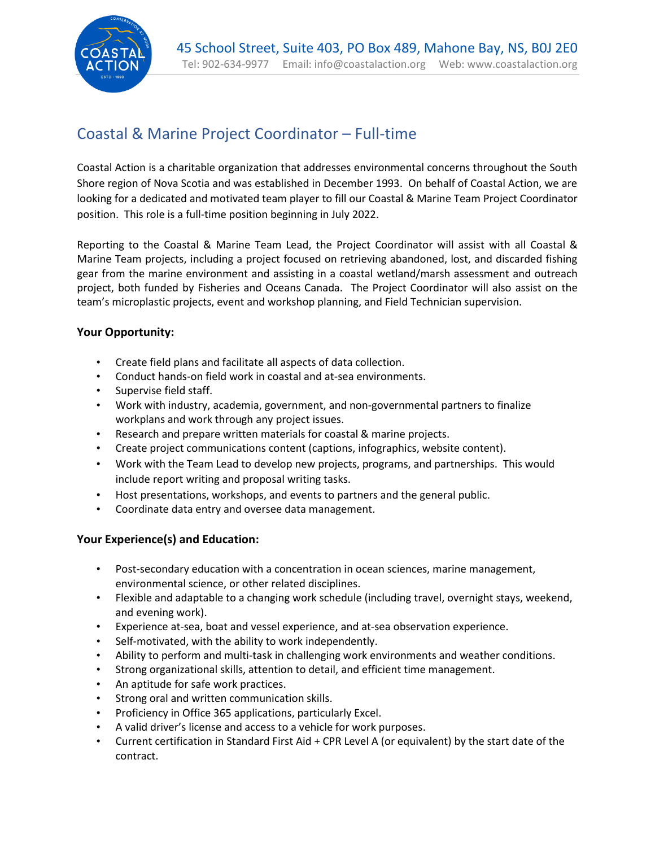

# Coastal & Marine Project Coordinator – Full-time

Coastal Action is a charitable organization that addresses environmental concerns throughout the South Shore region of Nova Scotia and was established in December 1993. On behalf of Coastal Action, we are looking for a dedicated and motivated team player to fill our Coastal & Marine Team Project Coordinator position. This role is a full-time position beginning in July 2022.

Reporting to the Coastal & Marine Team Lead, the Project Coordinator will assist with all Coastal & Marine Team projects, including a project focused on retrieving abandoned, lost, and discarded fishing gear from the marine environment and assisting in a coastal wetland/marsh assessment and outreach project, both funded by Fisheries and Oceans Canada. The Project Coordinator will also assist on the team's microplastic projects, event and workshop planning, and Field Technician supervision.

## **Your Opportunity:**

- Create field plans and facilitate all aspects of data collection.
- Conduct hands-on field work in coastal and at-sea environments.
- Supervise field staff.
- Work with industry, academia, government, and non-governmental partners to finalize workplans and work through any project issues.
- Research and prepare written materials for coastal & marine projects.
- Create project communications content (captions, infographics, website content).
- Work with the Team Lead to develop new projects, programs, and partnerships. This would include report writing and proposal writing tasks.
- Host presentations, workshops, and events to partners and the general public.
- Coordinate data entry and oversee data management.

## **Your Experience(s) and Education:**

- Post-secondary education with a concentration in ocean sciences, marine management, environmental science, or other related disciplines.
- Flexible and adaptable to a changing work schedule (including travel, overnight stays, weekend, and evening work).
- Experience at-sea, boat and vessel experience, and at-sea observation experience.
- Self-motivated, with the ability to work independently.
- Ability to perform and multi-task in challenging work environments and weather conditions.
- Strong organizational skills, attention to detail, and efficient time management.
- An aptitude for safe work practices.
- Strong oral and written communication skills.
- Proficiency in Office 365 applications, particularly Excel.
- A valid driver's license and access to a vehicle for work purposes.
- Current certification in Standard First Aid + CPR Level A (or equivalent) by the start date of the contract.